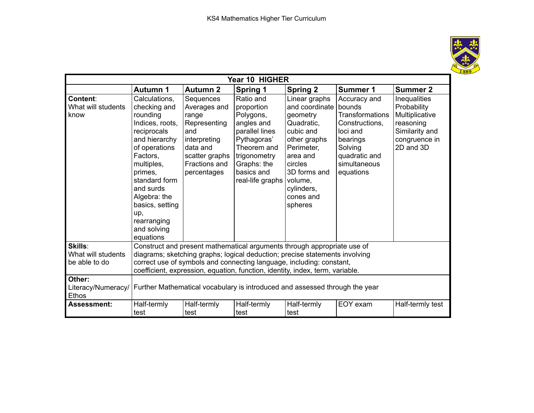

| Year 10 HIGHER                                 |                                                                                                                                                                                                                                                                                                                 |                                                                                                                                         |                                                                                                                                                                     |                                                                                                                                                                                              |                                                                                                                                                     |                                                                                                            |  |  |  |  |
|------------------------------------------------|-----------------------------------------------------------------------------------------------------------------------------------------------------------------------------------------------------------------------------------------------------------------------------------------------------------------|-----------------------------------------------------------------------------------------------------------------------------------------|---------------------------------------------------------------------------------------------------------------------------------------------------------------------|----------------------------------------------------------------------------------------------------------------------------------------------------------------------------------------------|-----------------------------------------------------------------------------------------------------------------------------------------------------|------------------------------------------------------------------------------------------------------------|--|--|--|--|
|                                                | <b>Autumn 1</b>                                                                                                                                                                                                                                                                                                 | <b>Autumn 2</b>                                                                                                                         | <b>Spring 1</b>                                                                                                                                                     | <b>Spring 2</b>                                                                                                                                                                              | <b>Summer 1</b>                                                                                                                                     | <b>Summer 2</b>                                                                                            |  |  |  |  |
| <b>Content:</b><br>What will students<br>know  | Calculations,<br>checking and<br>rounding<br>Indices, roots,<br>reciprocals<br>and hierarchy<br>of operations<br>Factors.<br>multiples,<br>primes,<br>standard form<br>and surds<br>Algebra: the<br>basics, setting<br>up,<br>rearranging<br>and solving<br>equations                                           | Sequences<br>Averages and<br>range<br>Representing<br>and<br>interpreting<br>data and<br>scatter graphs<br>Fractions and<br>percentages | Ratio and<br>proportion<br>Polygons,<br>angles and<br>parallel lines<br>Pythagoras'<br>Theorem and<br>trigonometry<br>Graphs: the<br>basics and<br>real-life graphs | Linear graphs<br>and coordinate<br>geometry<br>Quadratic.<br>cubic and<br>other graphs<br>Perimeter,<br>area and<br>circles<br>3D forms and<br>volume,<br>cylinders,<br>cones and<br>spheres | Accuracy and<br>bounds<br><b>Transformations</b><br>Constructions,<br>loci and<br>bearings<br>Solving<br>quadratic and<br>simultaneous<br>equations | Inequalities<br>Probability<br>Multiplicative<br>reasoning<br>Similarity and<br>congruence in<br>2D and 3D |  |  |  |  |
| Skills:<br>What will students<br>be able to do | Construct and present mathematical arguments through appropriate use of<br>diagrams; sketching graphs; logical deduction; precise statements involving<br>correct use of symbols and connecting language, including: constant,<br>coefficient, expression, equation, function, identity, index, term, variable. |                                                                                                                                         |                                                                                                                                                                     |                                                                                                                                                                                              |                                                                                                                                                     |                                                                                                            |  |  |  |  |
| Other:<br>Literacy/Numeracy/<br><b>Ethos</b>   | Further Mathematical vocabulary is introduced and assessed through the year                                                                                                                                                                                                                                     |                                                                                                                                         |                                                                                                                                                                     |                                                                                                                                                                                              |                                                                                                                                                     |                                                                                                            |  |  |  |  |
| <b>Assessment:</b>                             | Half-termly<br>test                                                                                                                                                                                                                                                                                             | Half-termly<br>test                                                                                                                     | Half-termly<br>test                                                                                                                                                 | Half-termly<br>test                                                                                                                                                                          | EOY exam                                                                                                                                            | Half-termly test                                                                                           |  |  |  |  |